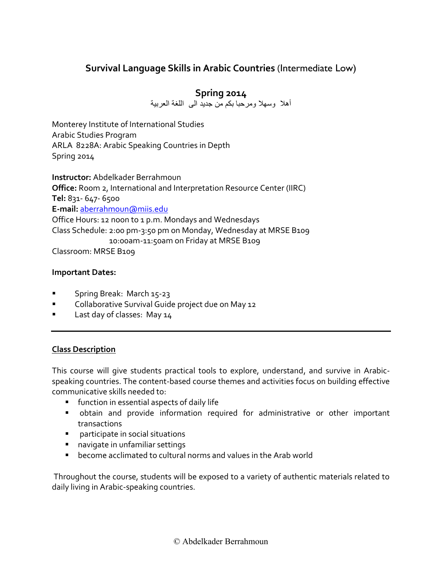# **Survival Language Skills in Arabic Countries** (Intermediate Low)

# **Spring 2014**

أهال وسهال ومرحبا بكم من جديد الى اللغة العربية

Monterey Institute of International Studies Arabic Studies Program ARLA 8228A: Arabic Speaking Countries in Depth Spring 2014

**Instructor:** Abdelkader Berrahmoun **Office:** Room 2, International and Interpretation Resource Center (IIRC) **Tel:** 831- 647- 6500 **E-mail:** [aberrahmoun@miis.edu](mailto:aberrahmoun@miis.edu) Office Hours: 12 noon to 1 p.m. Mondays and Wednesdays Class Schedule: 2:00 pm-3:50 pm on Monday, Wednesday at MRSE B109 10:00am-11:50am on Friday at MRSE B109 Classroom: MRSE B109

### **Important Dates:**

- Spring Break: March 15-23
- Collaborative Survival Guide project due on May 12
- Last day of classes: May 14

# **Class Description**

This course will give students practical tools to explore, understand, and survive in Arabicspeaking countries. The content-based course themes and activities focus on building effective communicative skills needed to:

- function in essential aspects of daily life
- obtain and provide information required for administrative or other important transactions
- participate in social situations
- navigate in unfamiliar settings
- become acclimated to cultural norms and values in the Arab world

Throughout the course, students will be exposed to a variety of authentic materials related to daily living in Arabic-speaking countries.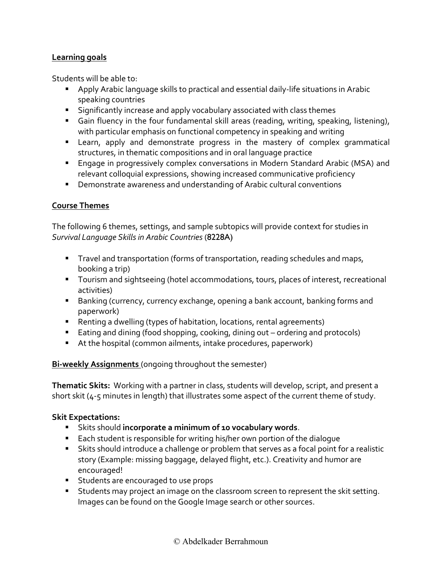# **Learning goals**

Students will be able to:

- Apply Arabic language skills to practical and essential daily-life situations in Arabic speaking countries
- Significantly increase and apply vocabulary associated with class themes
- Gain fluency in the four fundamental skill areas (reading, writing, speaking, listening), with particular emphasis on functional competency in speaking and writing
- **E** Learn, apply and demonstrate progress in the mastery of complex grammatical structures, in thematic compositions and in oral language practice
- Engage in progressively complex conversations in Modern Standard Arabic (MSA) and relevant colloquial expressions, showing increased communicative proficiency
- Demonstrate awareness and understanding of Arabic cultural conventions

# **Course Themes**

The following 6 themes, settings, and sample subtopics will provide context for studies in *Survival Language Skills in Arabic Countries* (8228A)

- Travel and transportation (forms of transportation, reading schedules and maps, booking a trip)
- Tourism and sightseeing (hotel accommodations, tours, places of interest, recreational activities)
- Banking (currency, currency exchange, opening a bank account, banking forms and paperwork)
- Renting a dwelling (types of habitation, locations, rental agreements)
- Eating and dining (food shopping, cooking, dining out ordering and protocols)
- At the hospital (common ailments, intake procedures, paperwork)

### **Bi-weekly Assignments** (ongoing throughout the semester)

**Thematic Skits:** Working with a partner in class, students will develop, script, and present a short skit (4-5 minutes in length) that illustrates some aspect of the current theme of study.

### **Skit Expectations:**

- Skits should **incorporate a minimum of 10 vocabulary words**.
- Each student is responsible for writing his/her own portion of the dialogue
- Skits should introduce a challenge or problem that serves as a focal point for a realistic story (Example: missing baggage, delayed flight, etc.). Creativity and humor are encouraged!
- **EXEC** Students are encouraged to use props
- Students may project an image on the classroom screen to represent the skit setting. Images can be found on the Google Image search or other sources.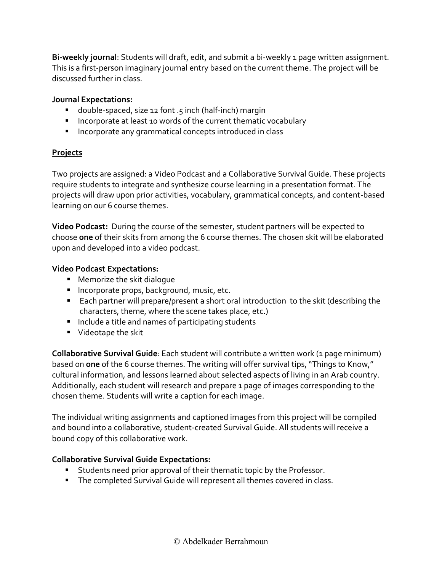**Bi-weekly journal**: Students will draft, edit, and submit a bi-weekly 1 page written assignment. This is a first-person imaginary journal entry based on the current theme. The project will be discussed further in class.

# **Journal Expectations:**

- double-spaced, size 12 font .5 inch (half-inch) margin
- Incorporate at least 10 words of the current thematic vocabulary
- Incorporate any grammatical concepts introduced in class

# **Projects**

Two projects are assigned: a Video Podcast and a Collaborative Survival Guide. These projects require students to integrate and synthesize course learning in a presentation format. The projects will draw upon prior activities, vocabulary, grammatical concepts, and content-based learning on our 6 course themes.

**Video Podcast:** During the course of the semester, student partners will be expected to choose **one** of their skits from among the 6 course themes. The chosen skit will be elaborated upon and developed into a video podcast.

# **Video Podcast Expectations:**

- Memorize the skit dialogue
- Incorporate props, background, music, etc.
- Each partner will prepare/present a short oral introduction to the skit (describing the characters, theme, where the scene takes place, etc.)
- Include a title and names of participating students
- Videotape the skit

**Collaborative Survival Guide**: Each student will contribute a written work (1 page minimum) based on **one** of the 6 course themes. The writing will offer survival tips, "Things to Know," cultural information, and lessons learned about selected aspects of living in an Arab country. Additionally, each student will research and prepare 1 page of images corresponding to the chosen theme. Students will write a caption for each image.

The individual writing assignments and captioned images from this project will be compiled and bound into a collaborative, student-created Survival Guide. All students will receive a bound copy of this collaborative work.

# **Collaborative Survival Guide Expectations:**

- Students need prior approval of their thematic topic by the Professor.
- **The completed Survival Guide will represent all themes covered in class.**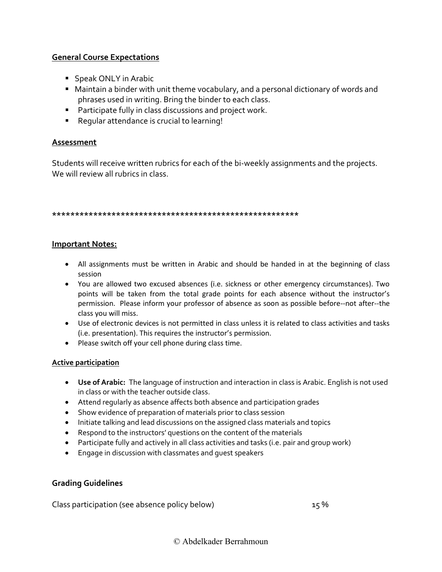# **General Course Expectations**

- Speak ONLY in Arabic
- Maintain a binder with unit theme vocabulary, and a personal dictionary of words and phrases used in writing. Bring the binder to each class.
- Participate fully in class discussions and project work.
- Regular attendance is crucial to learning!

#### **Assessment**

Students will receive written rubrics for each of the bi-weekly assignments and the projects. We will review all rubrics in class.

#### **\*\*\*\*\*\*\*\*\*\*\*\*\*\*\*\*\*\*\*\*\*\*\*\*\*\*\*\*\*\*\*\*\*\*\*\*\*\*\*\*\*\*\*\*\*\*\*\*\*\*\*\*\*\***

#### **Important Notes:**

- All assignments must be written in Arabic and should be handed in at the beginning of class session
- You are allowed two excused absences (i.e. sickness or other emergency circumstances). Two points will be taken from the total grade points for each absence without the instructor's permission. Please inform your professor of absence as soon as possible before--not after--the class you will miss.
- Use of electronic devices is not permitted in class unless it is related to class activities and tasks (i.e. presentation). This requires the instructor's permission.
- Please switch off your cell phone during class time.

#### **Active participation**

- **Use of Arabic:** The language of instruction and interaction in class is Arabic. English is not used in class or with the teacher outside class.
- Attend regularly as absence affects both absence and participation grades
- Show evidence of preparation of materials prior to class session
- Initiate talking and lead discussions on the assigned class materials and topics
- Respond to the instructors' questions on the content of the materials
- Participate fully and actively in all class activities and tasks (i.e. pair and group work)
- Engage in discussion with classmates and guest speakers

### **Grading Guidelines**

Class participation (see absence policy below) 15 %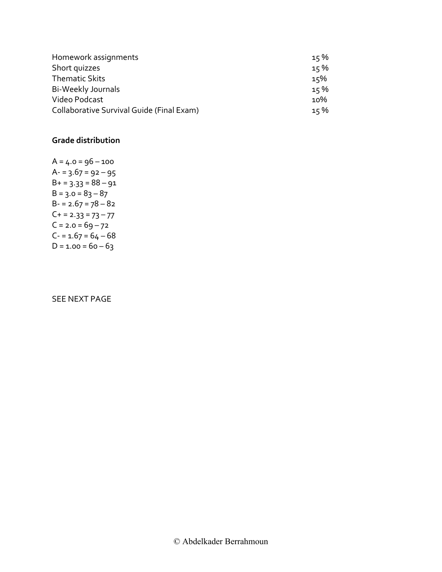| Homework assignments                      | 15% |
|-------------------------------------------|-----|
| Short quizzes                             | 15% |
| <b>Thematic Skits</b>                     | 15% |
| Bi-Weekly Journals                        | 15% |
| Video Podcast                             | 10% |
| Collaborative Survival Guide (Final Exam) | 15% |

#### **Grade distribution**

 $A = 4.0 = 96 - 100$  $A - 3.67 = 92 - 95$  $B+ = 3.33 = 88 - 91$  $B = 3.0 = 83 - 87$  $B - 2.67 = 78 - 82$  $C+ = 2.33 = 73 - 77$  $C = 2.0 = 69 - 72$  $C - 1.67 = 64 - 68$  $D = 1.00 = 60 - 63$ 

#### SEE NEXT PAGE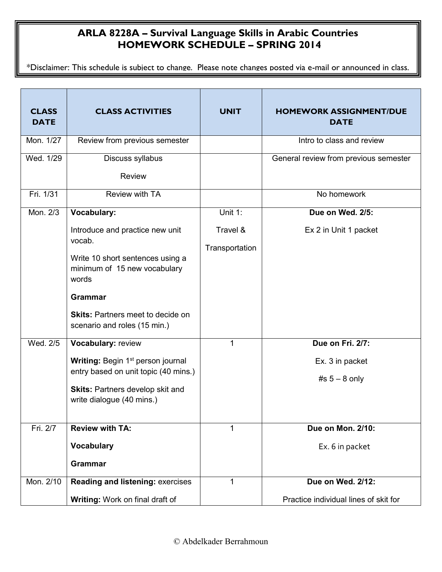# **ARLA 8228A – Survival Language Skills in Arabic Countries HOMEWORK SCHEDULE – SPRING 2014**

\*Disclaimer: This schedule is subject to change. Please note changes posted via e-mail or announced in class.

| <b>CLASS</b><br><b>DATE</b> | <b>CLASS ACTIVITIES</b>                                                                                                                                                                                                                              | <b>UNIT</b>                           | <b>HOMEWORK ASSIGNMENT/DUE</b><br><b>DATE</b>                                                  |
|-----------------------------|------------------------------------------------------------------------------------------------------------------------------------------------------------------------------------------------------------------------------------------------------|---------------------------------------|------------------------------------------------------------------------------------------------|
| Mon. 1/27                   | Review from previous semester                                                                                                                                                                                                                        |                                       | Intro to class and review                                                                      |
| Wed. 1/29                   | Discuss syllabus<br><b>Review</b>                                                                                                                                                                                                                    |                                       | General review from previous semester                                                          |
| Fri. 1/31                   | Review with TA                                                                                                                                                                                                                                       |                                       | No homework                                                                                    |
| Mon. 2/3                    | <b>Vocabulary:</b><br>Introduce and practice new unit<br>vocab.<br>Write 10 short sentences using a<br>minimum of 15 new vocabulary<br>words<br><b>Grammar</b><br><b>Skits: Partners meet to decide on</b><br>scenario and roles (15 min.)           | Unit 1:<br>Travel &<br>Transportation | Due on Wed. 2/5:<br>Ex 2 in Unit 1 packet                                                      |
| Wed. 2/5<br>Fri. 2/7        | Vocabulary: review<br>Writing: Begin 1 <sup>st</sup> person journal<br>entry based on unit topic (40 mins.)<br><b>Skits: Partners develop skit and</b><br>write dialogue (40 mins.)<br><b>Review with TA:</b><br><b>Vocabulary</b><br><b>Grammar</b> | 1<br>1                                | Due on Fri. 2/7:<br>Ex. 3 in packet<br>#s $5 - 8$ only<br>Due on Mon. 2/10:<br>Ex. 6 in packet |
| Mon. 2/10                   | <b>Reading and listening: exercises</b><br>Writing: Work on final draft of                                                                                                                                                                           | 1                                     | Due on Wed. 2/12:<br>Practice individual lines of skit for                                     |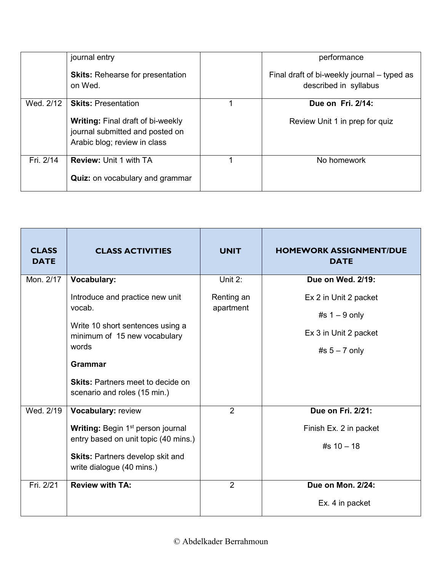|           | journal entry                                                                                               | performance                                                          |
|-----------|-------------------------------------------------------------------------------------------------------------|----------------------------------------------------------------------|
|           | <b>Skits:</b> Rehearse for presentation<br>on Wed.                                                          | Final draft of bi-weekly journal – typed as<br>described in syllabus |
| Wed. 2/12 | <b>Skits: Presentation</b>                                                                                  | Due on Fri. 2/14:                                                    |
|           | <b>Writing: Final draft of bi-weekly</b><br>journal submitted and posted on<br>Arabic blog; review in class | Review Unit 1 in prep for quiz                                       |
| Fri. 2/14 | <b>Review: Unit 1 with TA</b>                                                                               | No homework                                                          |
|           | <b>Quiz:</b> on vocabulary and grammar                                                                      |                                                                      |

| <b>CLASS</b><br><b>DATE</b> | <b>CLASS ACTIVITIES</b>                                                                                                                                                             | <b>UNIT</b>             | <b>HOMEWORK ASSIGNMENT/DUE</b><br><b>DATE</b>               |
|-----------------------------|-------------------------------------------------------------------------------------------------------------------------------------------------------------------------------------|-------------------------|-------------------------------------------------------------|
| Mon. 2/17                   | <b>Vocabulary:</b>                                                                                                                                                                  | Unit $2$ :              | Due on Wed. 2/19:                                           |
|                             | Introduce and practice new unit<br>vocab.                                                                                                                                           | Renting an<br>apartment | Ex 2 in Unit 2 packet<br>#s $1 - 9$ only                    |
|                             | Write 10 short sentences using a<br>minimum of 15 new vocabulary<br>words                                                                                                           |                         | Ex 3 in Unit 2 packet<br>#s $5 - 7$ only                    |
|                             | <b>Grammar</b><br><b>Skits: Partners meet to decide on</b><br>scenario and roles (15 min.)                                                                                          |                         |                                                             |
| Wed. 2/19                   | Vocabulary: review<br>Writing: Begin 1 <sup>st</sup> person journal<br>entry based on unit topic (40 mins.)<br><b>Skits: Partners develop skit and</b><br>write dialogue (40 mins.) | $\overline{2}$          | Due on Fri. 2/21:<br>Finish Ex. 2 in packet<br>#s $10 - 18$ |
| Fri. 2/21                   | <b>Review with TA:</b>                                                                                                                                                              | $\overline{2}$          | Due on Mon. 2/24:<br>Ex. 4 in packet                        |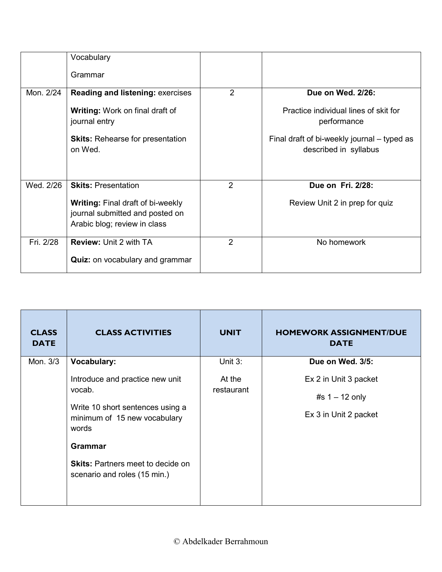|           | Vocabulary<br>Grammar                                                                                       |                |                                                                      |
|-----------|-------------------------------------------------------------------------------------------------------------|----------------|----------------------------------------------------------------------|
| Mon. 2/24 | <b>Reading and listening: exercises</b>                                                                     | $\overline{2}$ | Due on Wed. 2/26:                                                    |
|           | <b>Writing:</b> Work on final draft of<br>journal entry                                                     |                | Practice individual lines of skit for<br>performance                 |
|           | <b>Skits: Rehearse for presentation</b><br>on Wed.                                                          |                | Final draft of bi-weekly journal – typed as<br>described in syllabus |
| Wed. 2/26 | <b>Skits: Presentation</b>                                                                                  | $\overline{2}$ | Due on Fri. 2/28:                                                    |
|           | <b>Writing: Final draft of bi-weekly</b><br>journal submitted and posted on<br>Arabic blog; review in class |                | Review Unit 2 in prep for quiz                                       |
| Fri. 2/28 | <b>Review: Unit 2 with TA</b>                                                                               | 2              | No homework                                                          |
|           | <b>Quiz:</b> on vocabulary and grammar                                                                      |                |                                                                      |

| <b>CLASS</b><br><b>DATE</b> | <b>CLASS ACTIVITIES</b>                                                                                                                                                                                              | <b>UNIT</b>          | <b>HOMEWORK ASSIGNMENT/DUE</b><br><b>DATE</b>                      |
|-----------------------------|----------------------------------------------------------------------------------------------------------------------------------------------------------------------------------------------------------------------|----------------------|--------------------------------------------------------------------|
| Mon. 3/3                    | <b>Vocabulary:</b>                                                                                                                                                                                                   | Unit 3:              | Due on Wed. 3/5:                                                   |
|                             | Introduce and practice new unit<br>vocab.<br>Write 10 short sentences using a<br>minimum of 15 new vocabulary<br>words<br><b>Grammar</b><br><b>Skits: Partners meet to decide on</b><br>scenario and roles (15 min.) | At the<br>restaurant | Ex 2 in Unit 3 packet<br>#s $1 - 12$ only<br>Ex 3 in Unit 2 packet |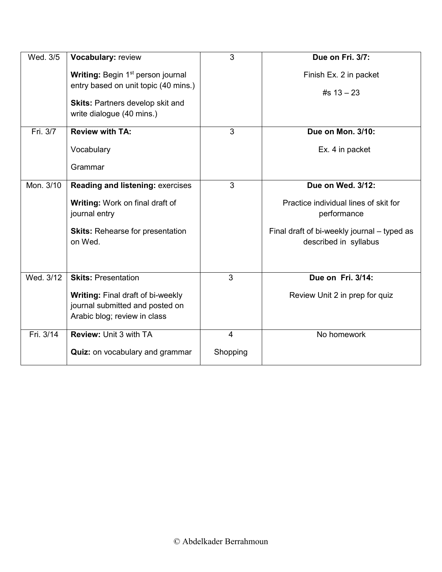| Wed. 3/5  | Vocabulary: review                                                                                                                                            | 3              | Due on Fri. 3/7:                                                     |
|-----------|---------------------------------------------------------------------------------------------------------------------------------------------------------------|----------------|----------------------------------------------------------------------|
|           | Writing: Begin 1 <sup>st</sup> person journal<br>entry based on unit topic (40 mins.)<br><b>Skits: Partners develop skit and</b><br>write dialogue (40 mins.) |                | Finish Ex. 2 in packet<br>#s $13 - 23$                               |
| Fri. 3/7  | <b>Review with TA:</b>                                                                                                                                        | 3              | Due on Mon. 3/10:                                                    |
|           | Vocabulary                                                                                                                                                    |                | Ex. 4 in packet                                                      |
|           | Grammar                                                                                                                                                       |                |                                                                      |
| Mon. 3/10 | <b>Reading and listening: exercises</b>                                                                                                                       | $\overline{3}$ | Due on Wed. 3/12:                                                    |
|           | Writing: Work on final draft of<br>journal entry                                                                                                              |                | Practice individual lines of skit for<br>performance                 |
|           | <b>Skits: Rehearse for presentation</b><br>on Wed.                                                                                                            |                | Final draft of bi-weekly journal - typed as<br>described in syllabus |
| Wed. 3/12 | <b>Skits: Presentation</b>                                                                                                                                    | $\overline{3}$ | Due on Fri. 3/14:                                                    |
|           | <b>Writing: Final draft of bi-weekly</b><br>journal submitted and posted on<br>Arabic blog; review in class                                                   |                | Review Unit 2 in prep for quiz                                       |
| Fri. 3/14 | Review: Unit 3 with TA                                                                                                                                        | $\overline{4}$ | No homework                                                          |
|           | Quiz: on vocabulary and grammar                                                                                                                               | Shopping       |                                                                      |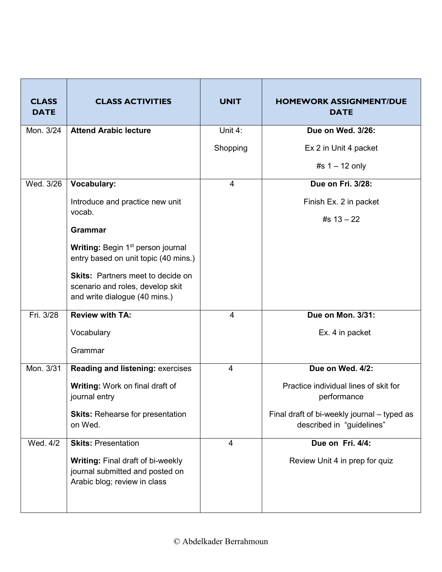| <b>CLASS</b><br><b>DATE</b> | <b>CLASS ACTIVITIES</b>                                                                                       | <b>UNIT</b>    | <b>HOMEWORK ASSIGNMENT/DUE</b><br><b>DATE</b>                            |
|-----------------------------|---------------------------------------------------------------------------------------------------------------|----------------|--------------------------------------------------------------------------|
| Mon. 3/24                   | <b>Attend Arabic lecture</b>                                                                                  | Unit 4:        | Due on Wed. 3/26:                                                        |
|                             |                                                                                                               | Shopping       | Ex 2 in Unit 4 packet                                                    |
|                             |                                                                                                               |                | #s $1 - 12$ only                                                         |
| Wed. 3/26                   | <b>Vocabulary:</b>                                                                                            | $\overline{4}$ | Due on Fri. 3/28:                                                        |
|                             | Introduce and practice new unit                                                                               |                | Finish Ex. 2 in packet                                                   |
|                             | vocab.                                                                                                        |                | #s $13 - 22$                                                             |
|                             | <b>Grammar</b>                                                                                                |                |                                                                          |
|                             | Writing: Begin 1 <sup>st</sup> person journal<br>entry based on unit topic (40 mins.)                         |                |                                                                          |
|                             | <b>Skits: Partners meet to decide on</b><br>scenario and roles, develop skit<br>and write dialogue (40 mins.) |                |                                                                          |
| Fri. 3/28                   | <b>Review with TA:</b>                                                                                        | $\overline{4}$ | Due on Mon. 3/31:                                                        |
|                             | Vocabulary                                                                                                    |                | Ex. 4 in packet                                                          |
|                             | Grammar                                                                                                       |                |                                                                          |
| Mon. 3/31                   | <b>Reading and listening: exercises</b>                                                                       | $\overline{4}$ | Due on Wed. 4/2:                                                         |
|                             | <b>Writing: Work on final draft of</b><br>journal entry                                                       |                | Practice individual lines of skit for<br>performance                     |
|                             | <b>Skits: Rehearse for presentation</b><br>on Wed.                                                            |                | Final draft of bi-weekly journal – typed as<br>described in "guidelines" |
| Wed. 4/2                    | <b>Skits: Presentation</b>                                                                                    | $\overline{4}$ | Due on Fri. 4/4:                                                         |
|                             | <b>Writing: Final draft of bi-weekly</b><br>journal submitted and posted on<br>Arabic blog; review in class   |                | Review Unit 4 in prep for quiz                                           |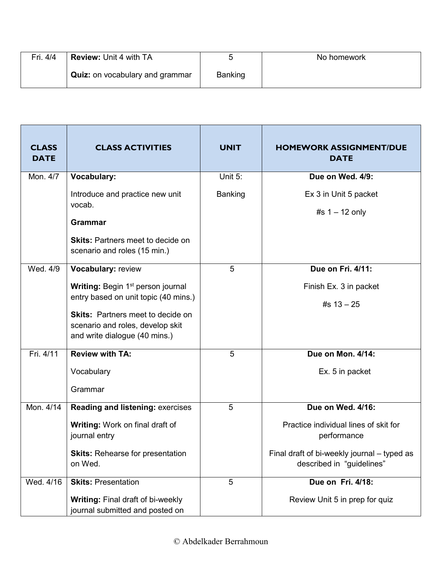| Fri. 4/4 | Review: Unit 4 with TA                 |         | No homework |
|----------|----------------------------------------|---------|-------------|
|          | <b>Quiz:</b> on vocabulary and grammar | Banking |             |

| <b>CLASS</b><br><b>DATE</b> | <b>CLASS ACTIVITIES</b>                                                                                                                               | <b>UNIT</b> | <b>HOMEWORK ASSIGNMENT/DUE</b><br><b>DATE</b>                            |
|-----------------------------|-------------------------------------------------------------------------------------------------------------------------------------------------------|-------------|--------------------------------------------------------------------------|
| Mon. 4/7                    | <b>Vocabulary:</b>                                                                                                                                    | Unit 5:     | Due on Wed. 4/9:                                                         |
|                             | Introduce and practice new unit<br>vocab.                                                                                                             | Banking     | Ex 3 in Unit 5 packet                                                    |
|                             | <b>Grammar</b>                                                                                                                                        |             | #s $1 - 12$ only                                                         |
|                             | <b>Skits: Partners meet to decide on</b><br>scenario and roles (15 min.)                                                                              |             |                                                                          |
| Wed. 4/9                    | Vocabulary: review                                                                                                                                    | 5           | Due on Fri. 4/11:                                                        |
|                             | Writing: Begin 1 <sup>st</sup> person journal                                                                                                         |             | Finish Ex. 3 in packet                                                   |
|                             | entry based on unit topic (40 mins.)<br><b>Skits: Partners meet to decide on</b><br>scenario and roles, develop skit<br>and write dialogue (40 mins.) |             | #s $13 - 25$                                                             |
| Fri. 4/11                   | <b>Review with TA:</b>                                                                                                                                | 5           | Due on Mon. 4/14:                                                        |
|                             | Vocabulary                                                                                                                                            |             | Ex. 5 in packet                                                          |
|                             | Grammar                                                                                                                                               |             |                                                                          |
| Mon. 4/14                   | <b>Reading and listening: exercises</b>                                                                                                               | 5           | Due on Wed. 4/16:                                                        |
|                             | Writing: Work on final draft of<br>journal entry                                                                                                      |             | Practice individual lines of skit for<br>performance                     |
|                             | <b>Skits: Rehearse for presentation</b><br>on Wed.                                                                                                    |             | Final draft of bi-weekly journal - typed as<br>described in "guidelines" |
| Wed. 4/16                   | <b>Skits: Presentation</b>                                                                                                                            | 5           | Due on Fri. 4/18:                                                        |
|                             | <b>Writing: Final draft of bi-weekly</b><br>journal submitted and posted on                                                                           |             | Review Unit 5 in prep for quiz                                           |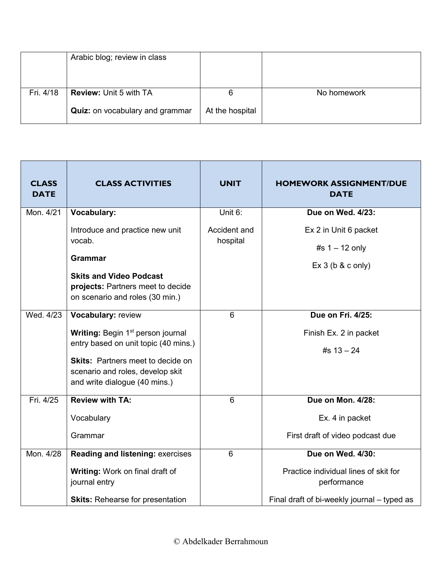|           | Arabic blog; review in class           |                 |             |
|-----------|----------------------------------------|-----------------|-------------|
| Fri. 4/18 | <b>Review: Unit 5 with TA</b>          |                 | No homework |
|           | <b>Quiz:</b> on vocabulary and grammar | At the hospital |             |

| <b>CLASS</b><br><b>DATE</b> | <b>CLASS ACTIVITIES</b>                                                                                | <b>UNIT</b>  | <b>HOMEWORK ASSIGNMENT/DUE</b><br><b>DATE</b>        |
|-----------------------------|--------------------------------------------------------------------------------------------------------|--------------|------------------------------------------------------|
| Mon. 4/21                   | <b>Vocabulary:</b>                                                                                     | Unit 6:      | Due on Wed. 4/23:                                    |
|                             | Introduce and practice new unit<br>vocab.                                                              | Accident and | Ex 2 in Unit 6 packet                                |
|                             |                                                                                                        | hospital     | #s $1 - 12$ only                                     |
|                             | <b>Grammar</b>                                                                                         |              | $Ex 3$ (b & c only)                                  |
|                             | <b>Skits and Video Podcast</b><br>projects: Partners meet to decide<br>on scenario and roles (30 min.) |              |                                                      |
| Wed. 4/23                   | Vocabulary: review                                                                                     | 6            | Due on Fri. 4/25:                                    |
|                             | Writing: Begin 1 <sup>st</sup> person journal                                                          |              | Finish Ex. 2 in packet                               |
|                             | entry based on unit topic (40 mins.)                                                                   |              | #s $13 - 24$                                         |
|                             | <b>Skits: Partners meet to decide on</b><br>scenario and roles, develop skit                           |              |                                                      |
|                             | and write dialogue (40 mins.)                                                                          |              |                                                      |
| Fri. 4/25                   | <b>Review with TA:</b>                                                                                 | 6            | Due on Mon. 4/28:                                    |
|                             | Vocabulary                                                                                             |              | Ex. 4 in packet                                      |
|                             | Grammar                                                                                                |              | First draft of video podcast due                     |
| Mon. 4/28                   | <b>Reading and listening: exercises</b>                                                                | 6            | Due on Wed. 4/30:                                    |
|                             | Writing: Work on final draft of<br>journal entry                                                       |              | Practice individual lines of skit for<br>performance |
|                             | <b>Skits: Rehearse for presentation</b>                                                                |              | Final draft of bi-weekly journal - typed as          |